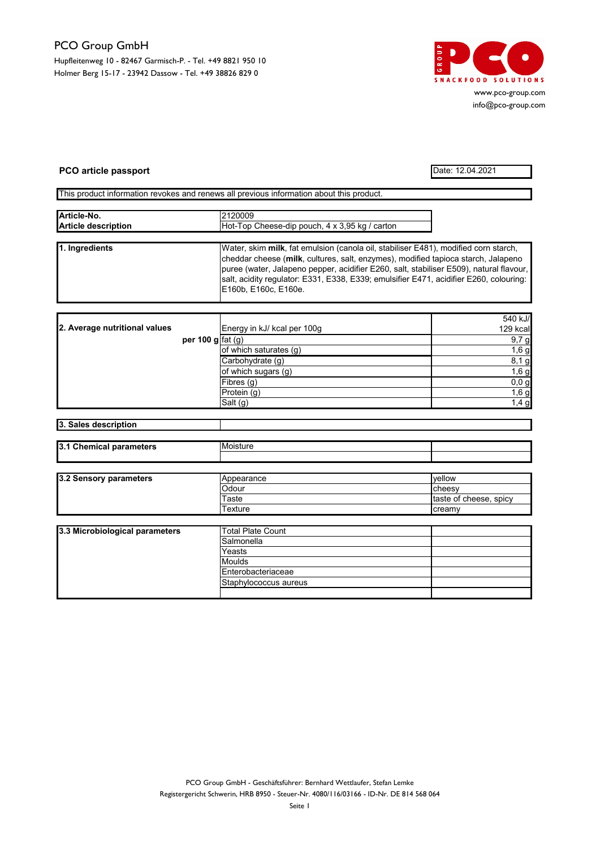## PCO Group GmbH

Hupfleitenweg 10 - 82467 Garmisch-P. - Tel. +49 8821 950 10 Holmer Berg 15-17 - 23942 Dassow - Tel. +49 38826 829 0



www.pco-group.com info@pco-group.com

## PCO article passport Date: 12.04.2021

This product information revokes and renews all previous information about this product.

| Article-No.                | 2120009                                                                                 |
|----------------------------|-----------------------------------------------------------------------------------------|
| <b>Article description</b> | Hot-Top Cheese-dip pouch, 4 x 3,95 kg / carton                                          |
|                            |                                                                                         |
| 1. Ingredients             | Water, skim milk, fat emulsion (canola oil, stabiliser E481), modified corn starch,     |
|                            | cheddar cheese (milk, cultures, salt, enzymes), modified tapioca starch, Jalapeno       |
|                            | puree (water, Jalapeno pepper, acidifier E260, salt, stabiliser E509), natural flavour, |
|                            | salt, acidity regulator: E331, E338, E339; emulsifier E471, acidifier E260, colouring:  |
|                            | E160b, E160c, E160e.                                                                    |

|                               |                    |                             | 540 kJ/  |
|-------------------------------|--------------------|-----------------------------|----------|
| 2. Average nutritional values |                    | Energy in kJ/ kcal per 100g | 129 kcal |
|                               | per 100 g $fat(q)$ |                             | 9,7g     |
|                               |                    | of which saturates (g)      | $1,6$ g  |
|                               |                    | Carbohydrate (g)            | 8,1g     |
|                               |                    | of which sugars (g)         | $1,6$ g  |
|                               |                    | (Fibres (g)                 | 0,0,9    |
|                               |                    | Protein (g)                 | 1,6g     |
|                               |                    | Salt (g)                    | $1,4$ g  |

| 3. Sales description |  |
|----------------------|--|
|----------------------|--|

| 13.1<br><b><i><u>BARABAARARA</u></i></b><br>-------<br>ne.<br>neuers | <b>Moiet</b> |  |
|----------------------------------------------------------------------|--------------|--|
|                                                                      |              |  |

| 3.2 Sensory parameters | <b>Appearance</b> | vellow                 |
|------------------------|-------------------|------------------------|
|                        | Odour             | Icheesv                |
|                        | Taste             | taste of cheese, spicy |
|                        | Texture           | <b>creamy</b>          |

| 3.3 Microbiological parameters | <b>Total Plate Count</b> |  |
|--------------------------------|--------------------------|--|
|                                | Salmonella               |  |
|                                | Yeasts                   |  |
|                                | Moulds                   |  |
|                                | Enterobacteriaceae       |  |
|                                | Staphylococcus aureus    |  |
|                                |                          |  |